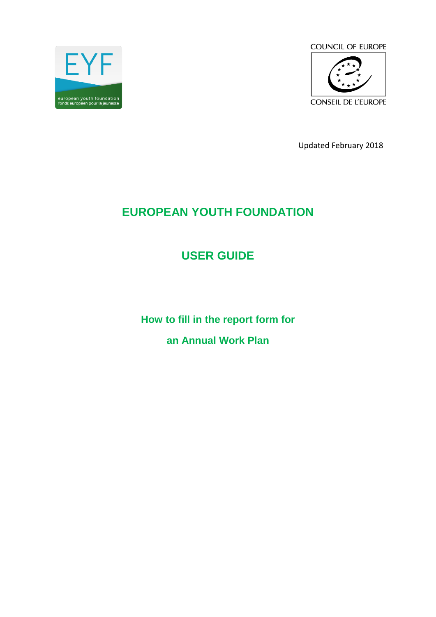

**COUNCIL OF EUROPE** 



Updated February 2018

# **EUROPEAN YOUTH FOUNDATION**

# **USER GUIDE**

**How to fill in the report form for an Annual Work Plan**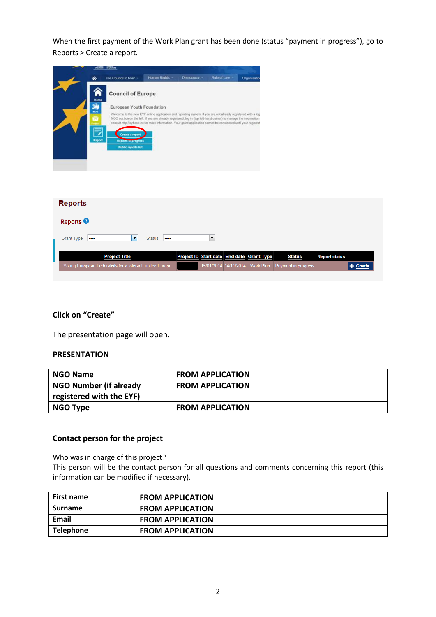When the first payment of the Work Plan grant has been done (status "payment in progress"), go to Reports > Create a report.

|                   |           | <b>SERVICE IN LONGE</b>                                                                                                                                                                                                                                                                                                                              |                |             |                       |                                           |                     |                      |            |
|-------------------|-----------|------------------------------------------------------------------------------------------------------------------------------------------------------------------------------------------------------------------------------------------------------------------------------------------------------------------------------------------------------|----------------|-------------|-----------------------|-------------------------------------------|---------------------|----------------------|------------|
|                   |           | The Council in brief                                                                                                                                                                                                                                                                                                                                 | Human Rights - | Domocracy = | Rule of Law           | Organisatio                               |                     |                      |            |
|                   | A<br>Home | <b>Council of Europe</b>                                                                                                                                                                                                                                                                                                                             |                |             |                       |                                           |                     |                      |            |
|                   |           | European Youth Foundation                                                                                                                                                                                                                                                                                                                            |                |             |                       |                                           |                     |                      |            |
|                   | MGO       | Welcome to the new EYF online application and reporting system. If you are not already registered with a log<br>NGO section on the left. If you are already registered, log in (top left-hand corner) to manage the information<br>consult http://eyf.coe.int for more information. Your grant application cannot be considered until your registrat |                |             |                       |                                           |                     |                      |            |
|                   | 7         | Create a report                                                                                                                                                                                                                                                                                                                                      |                |             |                       |                                           |                     |                      |            |
|                   | Report    | <b>Reports in progress</b><br><b>Public reports list</b>                                                                                                                                                                                                                                                                                             |                |             |                       |                                           |                     |                      |            |
|                   |           |                                                                                                                                                                                                                                                                                                                                                      |                |             |                       |                                           |                     |                      |            |
|                   |           |                                                                                                                                                                                                                                                                                                                                                      |                |             |                       |                                           |                     |                      |            |
|                   |           |                                                                                                                                                                                                                                                                                                                                                      |                |             |                       |                                           |                     |                      |            |
| <b>Reports</b>    |           |                                                                                                                                                                                                                                                                                                                                                      |                |             |                       |                                           |                     |                      |            |
| <b>Reports</b>    |           |                                                                                                                                                                                                                                                                                                                                                      |                |             |                       |                                           |                     |                      |            |
| <b>Grant Type</b> |           | $\blacktriangledown$                                                                                                                                                                                                                                                                                                                                 | <b>Status</b>  |             | $\blacktriangledown$  |                                           |                     |                      |            |
|                   |           | <b>Project Title</b>                                                                                                                                                                                                                                                                                                                                 |                |             |                       | Project ID Start date End date Grant Type | <b>Status</b>       | <b>Report status</b> |            |
|                   |           | Young European Federalists for a tolerant, united Europe                                                                                                                                                                                                                                                                                             |                |             | 15/01/2014 14/11/2014 | <b>Work Plan</b>                          | Payment in progress |                      | $+$ Create |

#### **Click on "Create"**

The presentation page will open.

#### **PRESENTATION**

| <b>NGO Name</b>               | <b>FROM APPLICATION</b> |
|-------------------------------|-------------------------|
| <b>NGO Number (if already</b> | <b>FROM APPLICATION</b> |
| registered with the EYF)      |                         |
| NGO Type                      | <b>FROM APPLICATION</b> |

#### **Contact person for the project**

Who was in charge of this project?

This person will be the contact person for all questions and comments concerning this report (this information can be modified if necessary).

| <b>First name</b> | <b>FROM APPLICATION</b> |
|-------------------|-------------------------|
| <b>Surname</b>    | <b>FROM APPLICATION</b> |
| <b>Email</b>      | <b>FROM APPLICATION</b> |
| <b>Telephone</b>  | <b>FROM APPLICATION</b> |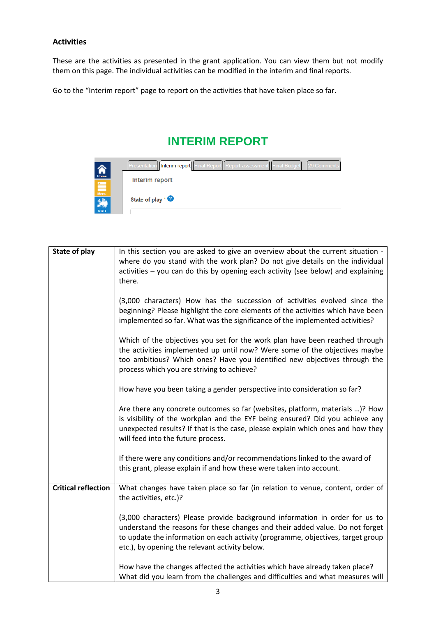#### **Activities**

These are the activities as presented in the grant application. You can view them but not modify them on this page. The individual activities can be modified in the interim and final reports.

Go to the "Interim report" page to report on the activities that have taken place so far.

## **INTERIM REPORT**

|                              | Presentation   Interim report   Final Report   Report assessment   Final Budget  <br>29 Comments |
|------------------------------|--------------------------------------------------------------------------------------------------|
| Home<br>$\sum_{\text{Mean}}$ | Interim report                                                                                   |
| <b>NGO</b>                   | State of play $*$ $\bullet$                                                                      |

| State of play              | In this section you are asked to give an overview about the current situation -<br>where do you stand with the work plan? Do not give details on the individual<br>activities – you can do this by opening each activity (see below) and explaining<br>there.                                     |
|----------------------------|---------------------------------------------------------------------------------------------------------------------------------------------------------------------------------------------------------------------------------------------------------------------------------------------------|
|                            | (3,000 characters) How has the succession of activities evolved since the<br>beginning? Please highlight the core elements of the activities which have been<br>implemented so far. What was the significance of the implemented activities?                                                      |
|                            | Which of the objectives you set for the work plan have been reached through<br>the activities implemented up until now? Were some of the objectives maybe<br>too ambitious? Which ones? Have you identified new objectives through the<br>process which you are striving to achieve?              |
|                            | How have you been taking a gender perspective into consideration so far?                                                                                                                                                                                                                          |
|                            | Are there any concrete outcomes so far (websites, platform, materials )? How<br>is visibility of the workplan and the EYF being ensured? Did you achieve any<br>unexpected results? If that is the case, please explain which ones and how they<br>will feed into the future process.             |
|                            | If there were any conditions and/or recommendations linked to the award of<br>this grant, please explain if and how these were taken into account.                                                                                                                                                |
| <b>Critical reflection</b> | What changes have taken place so far (in relation to venue, content, order of<br>the activities, etc.)?                                                                                                                                                                                           |
|                            | (3,000 characters) Please provide background information in order for us to<br>understand the reasons for these changes and their added value. Do not forget<br>to update the information on each activity (programme, objectives, target group<br>etc.), by opening the relevant activity below. |
|                            | How have the changes affected the activities which have already taken place?<br>What did you learn from the challenges and difficulties and what measures will                                                                                                                                    |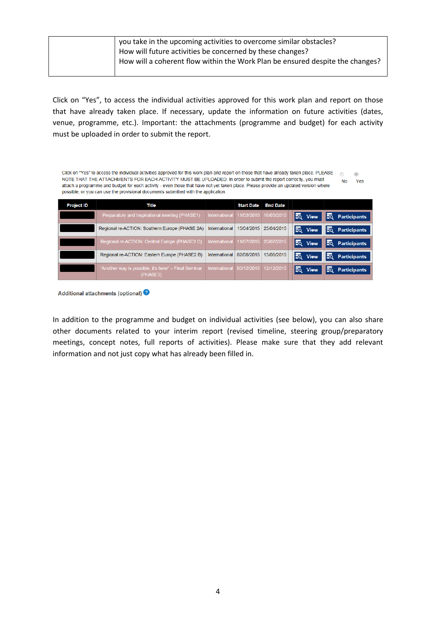| How will a coherent flow within the Work Plan be ensured despite the changes? |  | you take in the upcoming activities to overcome similar obstacles?<br>How will future activities be concerned by these changes? |
|-------------------------------------------------------------------------------|--|---------------------------------------------------------------------------------------------------------------------------------|
|-------------------------------------------------------------------------------|--|---------------------------------------------------------------------------------------------------------------------------------|

Click on "Yes", to access the individual activities approved for this work plan and report on those that have already taken place. If necessary, update the information on future activities (dates, venue, programme, etc.). Important: the attachments (programme and budget) for each activity must be uploaded in order to submit the report.

| Click on "Yes" to access the individual activities approved for this work plan and report on those that have already taken place. PLEASE<br>O<br>NOTE THAT THE ATTACHMENTS FOR EACH ACTIVITY MUST BE UPLOADED. In order to submit the report correctly, you must<br><b>Yes</b><br>No<br>attach a programme and budget for each activity - even those that have not yet taken place. Please provide an updated version where<br>possible, or you can use the provisional documents submitted with the application. |                                                                  |                      |                   |                 |                    |                            |
|-------------------------------------------------------------------------------------------------------------------------------------------------------------------------------------------------------------------------------------------------------------------------------------------------------------------------------------------------------------------------------------------------------------------------------------------------------------------------------------------------------------------|------------------------------------------------------------------|----------------------|-------------------|-----------------|--------------------|----------------------------|
| <b>Project ID</b>                                                                                                                                                                                                                                                                                                                                                                                                                                                                                                 | Title                                                            |                      | <b>Start Date</b> | <b>End Date</b> |                    |                            |
|                                                                                                                                                                                                                                                                                                                                                                                                                                                                                                                   | Preparatory and Inspirational meeting (PHASE1)                   | <b>International</b> | 11/03/2015        | 16/03/2015      | EQ<br><b>View</b>  | ΞQ<br><b>Participants</b>  |
|                                                                                                                                                                                                                                                                                                                                                                                                                                                                                                                   | Regional re-ACTION: Southern Europe (PHASE 2A)                   | International        | 15/04/2015        | 25/04/2015      | EQ<br><b>View</b>  | Fo<br><b>Participants</b>  |
|                                                                                                                                                                                                                                                                                                                                                                                                                                                                                                                   | Regional re-ACTION: Central Europe (PHASE2 C)                    | <b>International</b> | 11/07/2015        | 20/07/2015      | Eq.<br><b>View</b> | EQ.<br><b>Participants</b> |
|                                                                                                                                                                                                                                                                                                                                                                                                                                                                                                                   | Regional re-ACTION: Eastern Europe (PHASE2 B)                    | International        | 02/08/2015        | 13/08/2015      | EQ<br><b>View</b>  | EQ<br><b>Participants</b>  |
|                                                                                                                                                                                                                                                                                                                                                                                                                                                                                                                   | "Another way is possible, it's here" - Final Seminar<br>(PHASE3) | <b>International</b> | 05/12/2015        | 12/12/2015      | Ξō<br><b>View</b>  | <b>Participants</b><br>Ξō  |

Additional attachments (optional)

In addition to the programme and budget on individual activities (see below), you can also share other documents related to your interim report (revised timeline, steering group/preparatory meetings, concept notes, full reports of activities). Please make sure that they add relevant information and not just copy what has already been filled in.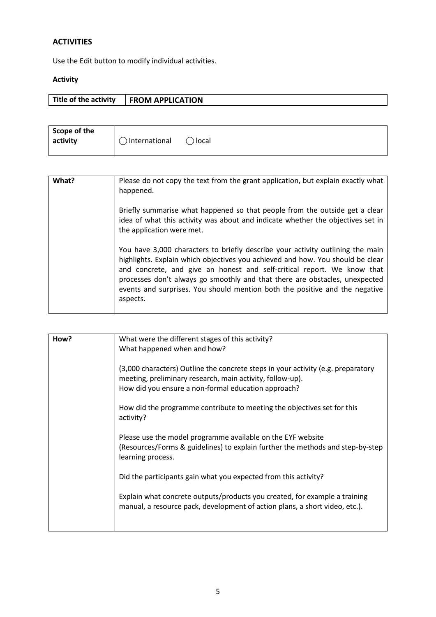### **ACTIVITIES**

Use the Edit button to modify individual activities.

## **Activity**

| Title of the activity | <b>FROM APPLICATION</b> |
|-----------------------|-------------------------|

| Scope of the |                 |         |
|--------------|-----------------|---------|
| activity     | ) International | ) local |
|              |                 |         |

| What? | Please do not copy the text from the grant application, but explain exactly what<br>happened.                                                                                                                                                                                                                                                                                                                         |
|-------|-----------------------------------------------------------------------------------------------------------------------------------------------------------------------------------------------------------------------------------------------------------------------------------------------------------------------------------------------------------------------------------------------------------------------|
|       | Briefly summarise what happened so that people from the outside get a clear<br>idea of what this activity was about and indicate whether the objectives set in<br>the application were met.                                                                                                                                                                                                                           |
|       | You have 3,000 characters to briefly describe your activity outlining the main<br>highlights. Explain which objectives you achieved and how. You should be clear<br>and concrete, and give an honest and self-critical report. We know that<br>processes don't always go smoothly and that there are obstacles, unexpected<br>events and surprises. You should mention both the positive and the negative<br>aspects. |

| How? | What were the different stages of this activity?<br>What happened when and how?                                                                                                                      |
|------|------------------------------------------------------------------------------------------------------------------------------------------------------------------------------------------------------|
|      | (3,000 characters) Outline the concrete steps in your activity (e.g. preparatory<br>meeting, preliminary research, main activity, follow-up).<br>How did you ensure a non-formal education approach? |
|      | How did the programme contribute to meeting the objectives set for this<br>activity?                                                                                                                 |
|      | Please use the model programme available on the EYF website<br>(Resources/Forms & guidelines) to explain further the methods and step-by-step<br>learning process.                                   |
|      | Did the participants gain what you expected from this activity?                                                                                                                                      |
|      | Explain what concrete outputs/products you created, for example a training<br>manual, a resource pack, development of action plans, a short video, etc.).                                            |
|      |                                                                                                                                                                                                      |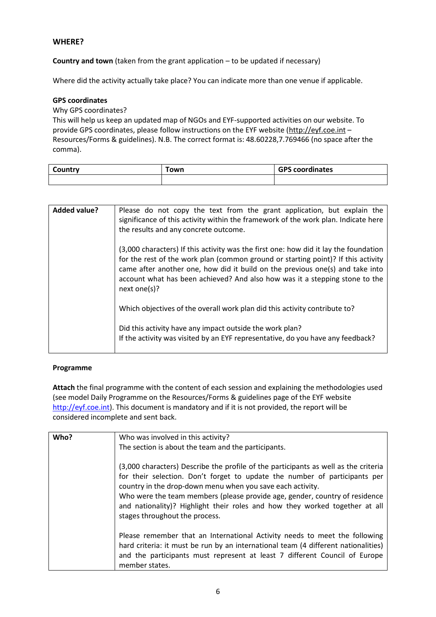#### **WHERE?**

**Country and town** (taken from the grant application – to be updated if necessary)

Where did the activity actually take place? You can indicate more than one venue if applicable.

#### **GPS coordinates**

Why GPS coordinates?

This will help us keep an updated map of NGOs and EYF-supported activities on our website. To provide GPS coordinates, please follow instructions on the EYF website [\(http://eyf.coe.int](http://eyf.coe.int/) -Resources/Forms & guidelines). N.B. The correct format is: 48.60228,7.769466 (no space after the comma).

| Country | own | <b>GPS coordinates</b> |
|---------|-----|------------------------|
|         |     |                        |

| <b>Added value?</b> | Please do not copy the text from the grant application, but explain the<br>significance of this activity within the framework of the work plan. Indicate here<br>the results and any concrete outcome.                                                                                                                                                    |
|---------------------|-----------------------------------------------------------------------------------------------------------------------------------------------------------------------------------------------------------------------------------------------------------------------------------------------------------------------------------------------------------|
|                     | (3,000 characters) If this activity was the first one: how did it lay the foundation<br>for the rest of the work plan (common ground or starting point)? If this activity<br>came after another one, how did it build on the previous one(s) and take into<br>account what has been achieved? And also how was it a stepping stone to the<br>next one(s)? |
|                     | Which objectives of the overall work plan did this activity contribute to?                                                                                                                                                                                                                                                                                |
|                     | Did this activity have any impact outside the work plan?<br>If the activity was visited by an EYF representative, do you have any feedback?                                                                                                                                                                                                               |

#### **Programme**

**Attach** the final programme with the content of each session and explaining the methodologies used (see model Daily Programme on the Resources/Forms & guidelines page of the EYF website [http://eyf.coe.int\)](http://eyf.coe.int/). This document is mandatory and if it is not provided, the report will be considered incomplete and sent back.

| Who? | Who was involved in this activity?                                                  |
|------|-------------------------------------------------------------------------------------|
|      |                                                                                     |
|      | The section is about the team and the participants.                                 |
|      |                                                                                     |
|      | (3,000 characters) Describe the profile of the participants as well as the criteria |
|      | for their selection. Don't forget to update the number of participants per          |
|      | country in the drop-down menu when you save each activity.                          |
|      | Who were the team members (please provide age, gender, country of residence         |
|      | and nationality)? Highlight their roles and how they worked together at all         |
|      |                                                                                     |
|      | stages throughout the process.                                                      |
|      |                                                                                     |
|      | Please remember that an International Activity needs to meet the following          |
|      | hard criteria: it must be run by an international team (4 different nationalities)  |
|      | and the participants must represent at least 7 different Council of Europe          |
|      |                                                                                     |
|      | member states.                                                                      |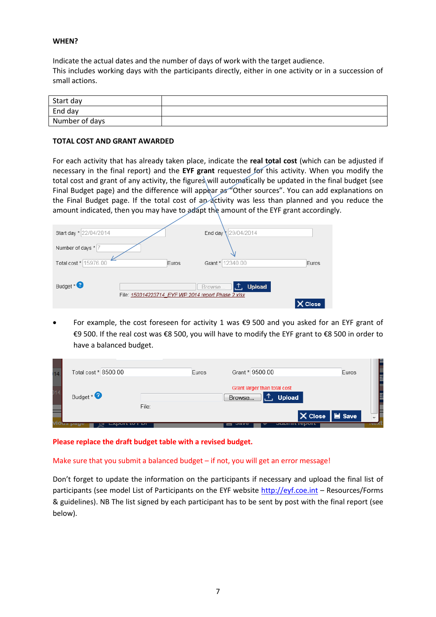#### **WHEN?**

Indicate the actual dates and the number of days of work with the target audience. This includes working days with the participants directly, either in one activity or in a succession of small actions.

| Start day      |  |
|----------------|--|
| End day        |  |
| Number of days |  |

#### **TOTAL COST AND GRANT AWARDED**

For each activity that has already taken place, indicate the **real total cost** (which can be adjusted if necessary in the final report) and the **EYF grant** requested for this activity. When you modify the total cost and grant of any activity, the figures will automatically be updated in the final budget (see Final Budget page) and the difference will appear as "Other sources". You can add explanations on the Final Budget page. If the total cost of an activity was less than planned and you reduce the amount indicated, then you may have to adapt the amount of the EYF grant accordingly.

| Start day * 22/04/2014 |                                                    | End day \29/04/2014            |       |
|------------------------|----------------------------------------------------|--------------------------------|-------|
| Number of days * 7     |                                                    |                                |       |
| Total cost * 15976.00  | Euros                                              | Grant * 12340.00               | Euros |
| Budget * <sup>2</sup>  | File: 150314223714 EYF WP 2014 report Phase 2.xlsx | <b>Upload</b><br>LŒ.<br>Browse |       |
|                        |                                                    |                                | Close |

 For example, the cost foreseen for activity 1 was €9 500 and you asked for an EYF grant of €9 500. If the real cost was €8 500, you will have to modify the EYF grant to €8 500 in order to have a balanced budget.

| 14 | Total cost * 8500.00 |       | Euros |        | Grant * 9500.00              |                       | Euros                                                              |                          |
|----|----------------------|-------|-------|--------|------------------------------|-----------------------|--------------------------------------------------------------------|--------------------------|
|    | Budget $*$           |       |       | Browse | Grant larger than total cost | <b>Upload</b>         |                                                                    |                          |
|    |                      | File: |       |        |                              |                       | $\mathsf{\times}$ Close $\mathsf{\parallel}$ $\mathsf{\cong}$ Save | $\overline{\phantom{a}}$ |
|    |                      |       |       |        |                              | <b>OMMITTE LANDIT</b> |                                                                    | <b>TEGAL</b>             |

**Please replace the draft budget table with a revised budget.**

Make sure that you submit a balanced budget – if not, you will get an error message!

Don't forget to update the information on the participants if necessary and upload the final list of participants (see model List of Participants on the EYF website [http://eyf.coe.int](http://eyf.coe.int/) - Resources/Forms & guidelines). NB The list signed by each participant has to be sent by post with the final report (see below).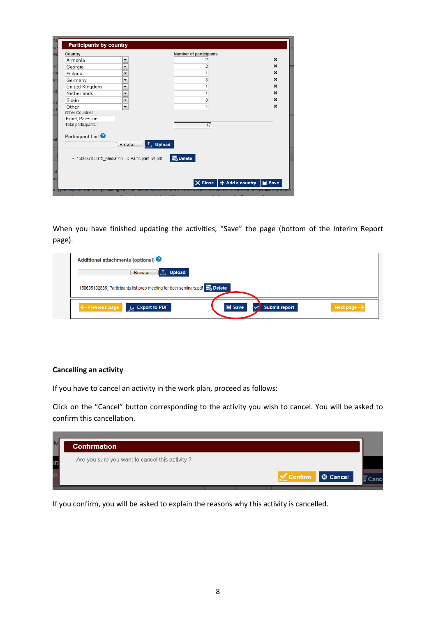| Country                                                                                     | Number of participants                             |             |
|---------------------------------------------------------------------------------------------|----------------------------------------------------|-------------|
| Armenia<br>▼                                                                                |                                                    | ×           |
| $\overline{\phantom{a}}$<br>Georgia                                                         | $\overline{c}$                                     | $\mathbf x$ |
| Finland<br>▼                                                                                |                                                    | ×           |
| Germany<br>▼                                                                                | 3                                                  | $\mathbf x$ |
| United Kingdom<br>▼                                                                         |                                                    | ×           |
| Netherlands<br>▼                                                                            |                                                    | $\mathbf x$ |
| Spain<br>▼                                                                                  | 3                                                  | ×           |
| Other<br>$\blacktriangledown$                                                               | 4                                                  | $\mathbf x$ |
| Other Countries:                                                                            |                                                    |             |
| Israel, Palestine                                                                           |                                                    |             |
| Total participants :                                                                        | 17                                                 |             |
| Participant List <sup>2</sup><br>Browse<br>· 150605102613_Mediation TC Participant list.pdf | <b>↑ Upload</b><br>■ Delete                        |             |
|                                                                                             | $\times$ Close $+$ Add a country $\mathbf{H}$ Save |             |

When you have finished updating the activities, "Save" the page (bottom of the Interim Report page).

| Additional attachments (optional)                                                   |                                                         |
|-------------------------------------------------------------------------------------|---------------------------------------------------------|
| <b>Upload</b><br>∴1.<br>Browse                                                      |                                                         |
| 150605102835 Participants list prep meeting for both seminars.pdf <b>For Delete</b> |                                                         |
| ← Previous page Let Export to PDF                                                   | Save<br><b>Submit report</b><br>Next page $\rightarrow$ |

#### **Cancelling an activity**

If you have to cancel an activity in the work plan, proceed as follows:

Click on the "Cancel" button corresponding to the activity you wish to cancel. You will be asked to confirm this cancellation.



If you confirm, you will be asked to explain the reasons why this activity is cancelled.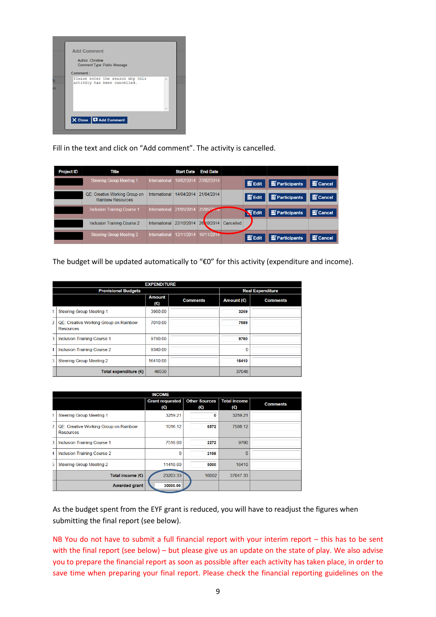

Fill in the text and click on "Add comment". The activity is cancelled.

| <b>Project ID</b> | <b>Title</b>                                              |               | <b>Start Date</b> | <b>End Date</b> |           |                   |              |                     |
|-------------------|-----------------------------------------------------------|---------------|-------------------|-----------------|-----------|-------------------|--------------|---------------------|
|                   | <b>Steering Group Meeting 1</b>                           | International | 19/02/2014        | 23/02/2014      |           | $\mathbf{E}$ Edit | Participants | $\mathbb{E}$ Cancel |
|                   | QE: Creative Working Group on<br><b>Rainbow Resources</b> | International | 14/04/2014        | 21/04/2014      |           | $\mathbf{E}$ Edit | Participants | Cancel              |
|                   | <b>Inclusion Training Course 1</b>                        | International | 21/05/2014        | 25/05/29        |           | <b>Edit</b>       | Participants | Cancel              |
|                   | <b>Inclusion Training Course 2</b>                        | International | 22/10/2014        | 26.10/2014      | Cancelled |                   |              |                     |
|                   | Steering Group Meeting 2                                  | International | 12/11/2014        | 16/11/2014      |           | $\mathbf{m}$ Edit | Participants | <b>E</b> Cancel     |

The budget will be updated automatically to "€0" for this activity (expenditure and income).

|                | <b>EXPENDITURE</b>                                        |                               |                 |            |                         |  |  |  |
|----------------|-----------------------------------------------------------|-------------------------------|-----------------|------------|-------------------------|--|--|--|
|                | <b>Provisional Budgets</b>                                |                               |                 |            | <b>Real Expenditure</b> |  |  |  |
|                |                                                           | <b>Amount</b><br>$(\epsilon)$ | <b>Comments</b> | Amount (€) | <b>Comments</b>         |  |  |  |
|                | Steering Group Meeting 1                                  | 3980.00                       |                 | 3259       |                         |  |  |  |
| $\overline{2}$ | QE: Creative Working Group on Rainbow<br><b>Resources</b> | 7010.00                       |                 | 7589       |                         |  |  |  |
| 3              | <b>Inclusion Training Course 1</b>                        | 9790.00                       |                 | 9790       |                         |  |  |  |
| 4              | Inclusion Training Course 2                               | 9340.00                       |                 | 0          |                         |  |  |  |
| 5              | <b>Steering Group Meeting 2</b>                           | 16410.00                      |                 | 16410      |                         |  |  |  |
|                | Total expenditure $(\epsilon)$                            | 46530                         |                 | 37048      |                         |  |  |  |

|   |                                                           | <b>INCOME</b>          |                             |                            |                 |
|---|-----------------------------------------------------------|------------------------|-----------------------------|----------------------------|-----------------|
|   |                                                           | Grant requested<br>(€) | <b>Other Sources</b><br>(€) | <b>Total income</b><br>(€) | <b>Comments</b> |
|   | <b>Steering Group Meeting 1</b>                           | 3259 21                | O                           | 3259.21                    |                 |
| 2 | QE: Creative Working Group on Rainbow<br><b>Resources</b> | 1016.12                | 6572                        | 7588.12                    |                 |
| 3 | <b>Inclusion Training Course 1</b>                        | 7518.00                | 2272                        | 9790                       |                 |
| 4 | <b>Inclusion Training Course 2</b>                        | 0                      | 2158                        | $\Omega$                   |                 |
| 5 | <b>Steering Group Meeting 2</b>                           | 11410.00               | 5000                        | 16410                      |                 |
|   | Total income $(E)$                                        | 23203.33               | 16002                       | 37047.33                   |                 |
|   | <b>Awarded grant</b>                                      | 30000.00               |                             |                            |                 |

As the budget spent from the EYF grant is reduced, you will have to readjust the figures when submitting the final report (see below).

NB You do not have to submit a full financial report with your interim report – this has to be sent with the final report (see below) – but please give us an update on the state of play. We also advise you to prepare the financial report as soon as possible after each activity has taken place, in order to save time when preparing your final report. Please check the financial reporting guidelines on the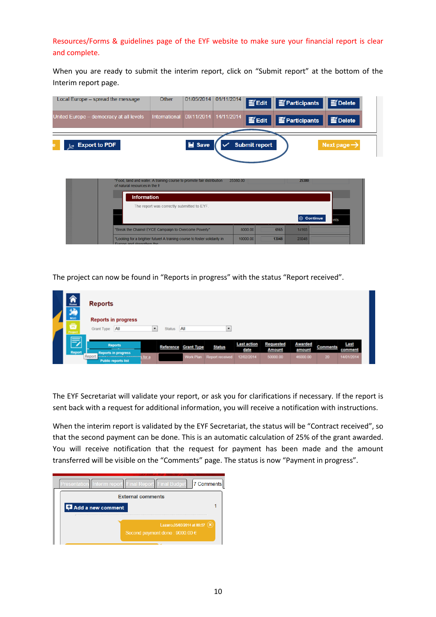Resources/Forms & guidelines page of the EYF website to make sure your financial report is clear and complete.

When you are ready to submit the interim report, click on "Submit report" at the bottom of the Interim report page.

| Local Europe – spread the message                                                                       | Other         | 01/05/2014            | $\left  \frac{01/11/2014}{1} \right $ Edit |                      | $\mathbf{E}$ Participants | PDelete                 |
|---------------------------------------------------------------------------------------------------------|---------------|-----------------------|--------------------------------------------|----------------------|---------------------------|-------------------------|
| United Europe – democracy at all levels                                                                 | International | 09/11/2014 14/11/2014 |                                            | E Edit               | Participants              | Delete                  |
| $\lambda$ Export to PDF                                                                                 |               | Save                  |                                            | <b>Submit report</b> |                           | Next page $\rightarrow$ |
| "Food, land and water. A training course to promote fair distribution<br>of natural resources in the fr |               |                       | 25380.00                                   |                      | 25380                     |                         |
| <b>Information</b>                                                                                      |               |                       |                                            |                      |                           |                         |

| The report was correctly submitted to EYF.                                                             |          |       |       |                           |
|--------------------------------------------------------------------------------------------------------|----------|-------|-------|---------------------------|
|                                                                                                        |          |       |       | <b>O</b> Continue<br>ints |
| "Break the Chains! EYCE Campaign to Overcome Poverty"                                                  | 8000.00  | 6165  | 14165 |                           |
| "Looking for a brighter future! A training course to foster solidarity in<br>Furnne and ctrangthen the | 10000.00 | 13048 | 23048 |                           |

The project can now be found in "Reports in progress" with the status "Report received".

| 合义<br>NGO          | <b>Reports</b><br><b>Reports in progress</b>                   |                |               |                      |                           |                            |                                   |                          |                 |                 |
|--------------------|----------------------------------------------------------------|----------------|---------------|----------------------|---------------------------|----------------------------|-----------------------------------|--------------------------|-----------------|-----------------|
| ā<br>Project       | Grant Type All                                                 | $\blacksquare$ | <b>Status</b> | All                  | $\overline{\phantom{a}}$  |                            |                                   |                          |                 |                 |
| 5<br><b>Report</b> | <b>Reports</b><br>Reports in progress                          |                |               | Reference Grant Type | Status                    | <b>Last action</b><br>date | <b>Requested</b><br><b>Amount</b> | <b>Awarded</b><br>amount | <b>Comments</b> | Last<br>comment |
|                    | Report<br>www.communications.com<br><b>Public reports list</b> |                |               |                      | Work Plan Report received | 12/02/2014                 | 50000.00                          | 46000.00                 | 20 <sub>1</sub> | 14/01/2014      |

The EYF Secretariat will validate your report, or ask you for clarifications if necessary. If the report is sent back with a request for additional information, you will receive a notification with instructions.

When the interim report is validated by the EYF Secretariat, the status will be "Contract received", so that the second payment can be done. This is an automatic calculation of 25% of the grant awarded. You will receive notification that the request for payment has been made and the amount transferred will be visible on the "Comments" page. The status is now "Payment in progress".

|                   | Presentation   Interim report   Final Report   Final Budget<br>7 Comments |  |
|-------------------|---------------------------------------------------------------------------|--|
|                   | <b>External comments</b>                                                  |  |
| Add a new comment |                                                                           |  |
|                   | Lazaro, 05/03/2014 at 09:57<br>Second payment done: $9000.00 \in$         |  |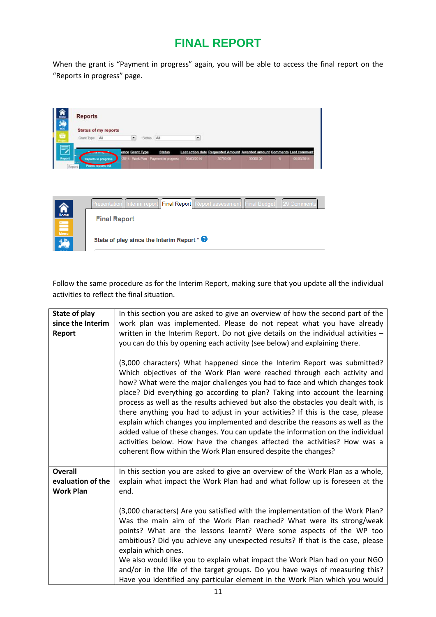# **FINAL REPORT**

When the grant is "Payment in progress" again, you will be able to access the final report on the "Reports in progress" page.

| hence                                                     | <b>Reports</b>                                    |                                    |            |               |            |                                                                                 |          |       |             |
|-----------------------------------------------------------|---------------------------------------------------|------------------------------------|------------|---------------|------------|---------------------------------------------------------------------------------|----------|-------|-------------|
| 第日                                                        | <b>Status of my reports</b>                       |                                    |            |               |            |                                                                                 |          |       |             |
|                                                           | Grant Type All                                    | $\bullet$                          | Status All |               | ×          |                                                                                 |          |       |             |
|                                                           |                                                   | ence Grant Type                    |            | <b>Status</b> |            | Last action date Requested Amount Awarded amount Comments Last comment          |          |       |             |
| <b>Report</b><br>Report                                   | Reports in progress<br><b>Public reports list</b> | 2014 Work Plan Payment in progress |            |               | 05/03/2014 | 30750.00                                                                        | 30000.00 | $6 -$ | 05/03/2014  |
|                                                           |                                                   |                                    |            |               |            | Presentation   Interim report   Final Report   Report assessment   Final Budget |          |       | 29 Comments |
| Home                                                      | <b>Final Report</b>                               |                                    |            |               |            |                                                                                 |          |       |             |
| $\begin{array}{c}\n\hline\n\text{mean}\n\end{array}$ Menu |                                                   |                                    |            |               |            |                                                                                 |          |       |             |

Follow the same procedure as for the Interim Report, making sure that you update all the individual activities to reflect the final situation.

| State of play<br>since the Interim<br>Report            | In this section you are asked to give an overview of how the second part of the<br>work plan was implemented. Please do not repeat what you have already<br>written in the Interim Report. Do not give details on the individual activities $-$<br>you can do this by opening each activity (see below) and explaining there.<br>(3,000 characters) What happened since the Interim Report was submitted?<br>Which objectives of the Work Plan were reached through each activity and<br>how? What were the major challenges you had to face and which changes took<br>place? Did everything go according to plan? Taking into account the learning<br>process as well as the results achieved but also the obstacles you dealt with, is<br>there anything you had to adjust in your activities? If this is the case, please<br>explain which changes you implemented and describe the reasons as well as the<br>added value of these changes. You can update the information on the individual<br>activities below. How have the changes affected the activities? How was a<br>coherent flow within the Work Plan ensured despite the changes? |
|---------------------------------------------------------|-------------------------------------------------------------------------------------------------------------------------------------------------------------------------------------------------------------------------------------------------------------------------------------------------------------------------------------------------------------------------------------------------------------------------------------------------------------------------------------------------------------------------------------------------------------------------------------------------------------------------------------------------------------------------------------------------------------------------------------------------------------------------------------------------------------------------------------------------------------------------------------------------------------------------------------------------------------------------------------------------------------------------------------------------------------------------------------------------------------------------------------------------|
| <b>Overall</b><br>evaluation of the<br><b>Work Plan</b> | In this section you are asked to give an overview of the Work Plan as a whole,<br>explain what impact the Work Plan had and what follow up is foreseen at the<br>end.<br>(3,000 characters) Are you satisfied with the implementation of the Work Plan?<br>Was the main aim of the Work Plan reached? What were its strong/weak<br>points? What are the lessons learnt? Were some aspects of the WP too<br>ambitious? Did you achieve any unexpected results? If that is the case, please<br>explain which ones.<br>We also would like you to explain what impact the Work Plan had on your NGO<br>and/or in the life of the target groups. Do you have ways of measuring this?<br>Have you identified any particular element in the Work Plan which you would                                                                                                                                                                                                                                                                                                                                                                                  |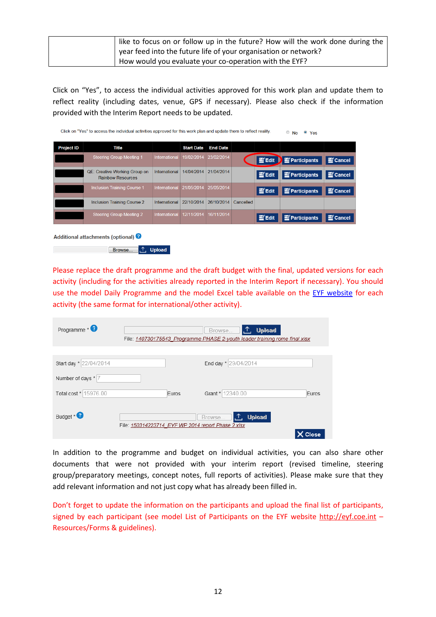| like to focus on or follow up in the future? How will the work done during the |
|--------------------------------------------------------------------------------|
| year feed into the future life of your organisation or network?                |
| How would you evaluate your co-operation with the EYF?                         |

Click on "Yes", to access the individual activities approved for this work plan and update them to reflect reality (including dates, venue, GPS if necessary). Please also check if the information provided with the Interim Report needs to be updated.

| <b>Project ID</b> | Title                                                     |                      | <b>Start Date</b> | <b>End Date</b> |           |                                 |                     |                     |  |
|-------------------|-----------------------------------------------------------|----------------------|-------------------|-----------------|-----------|---------------------------------|---------------------|---------------------|--|
|                   | <b>Steering Group Meeting 1</b>                           | International        | 19/02/2014        | 23/02/2014      |           | $\mathbf{E}'$ Edit $\mathbf{E}$ | <b>Participants</b> | <b>E</b> Cancel     |  |
|                   | QE: Creative Working Group on<br><b>Rainbow Resources</b> | International        | 14/04/2014        | 21/04/2014      |           | $\equiv$ Edit                   | Participants        | Cancel              |  |
|                   | <b>Inclusion Training Course 1</b>                        | International        | 21/05/2014        | 25/05/2014      |           | $\mathbf{E}$ Edit               | Participants        | Cancel              |  |
|                   | <b>Inclusion Training Course 2</b>                        | International        | 22/10/2014        | 26/10/2014      | Cancelled |                                 |                     |                     |  |
|                   | <b>Steering Group Meeting 2</b>                           | <b>International</b> | 12/11/2014        | 16/11/2014      |           | $\equiv$ Edit                   | Participants        | $\mathbf{E}$ Cancel |  |
|                   |                                                           |                      |                   |                 |           |                                 |                     |                     |  |

Please replace the draft programme and the draft budget with the final, updated versions for each activity (including for the activities already reported in the Interim Report if necessary). You should use the model Daily Programme and the model Excel table available on the [EYF website](https://www.coe.int/en/web/european-youth-foundation/forms-guidelines) for each activity (the same format for international/other activity).

| Programme $*$          |                                                    |       | Browse <b>1. <sup>1</sup>. Upload</b><br>File: 140730175543 Programme PHASE 2-youth leader training rome final xlsx |       |
|------------------------|----------------------------------------------------|-------|---------------------------------------------------------------------------------------------------------------------|-------|
|                        |                                                    |       |                                                                                                                     |       |
| Start day * 22/04/2014 |                                                    |       | End day * 29/04/2014                                                                                                |       |
| Number of days * 7     |                                                    |       |                                                                                                                     |       |
| Total cost * 15976.00  |                                                    | Euros | Grant * 12340.00                                                                                                    | Euros |
| Budget *               | File: 150314223714 EYF WP 2014 report Phase 2.xlsx |       | <b>Upload</b><br>Browse <b>1.</b>                                                                                   | Close |

In addition to the programme and budget on individual activities, you can also share other documents that were not provided with your interim report (revised timeline, steering group/preparatory meetings, concept notes, full reports of activities). Please make sure that they add relevant information and not just copy what has already been filled in.

Don't forget to update the information on the participants and upload the final list of participants, signed by each participant (see model List of Participants on the EYF website [http://eyf.coe.int](http://eyf.coe.int/) -Resources/Forms & guidelines).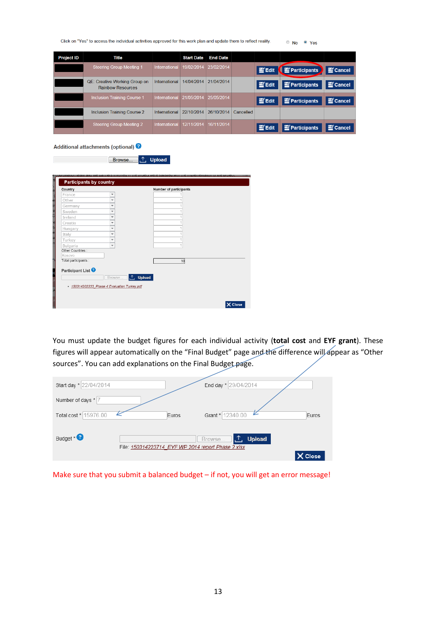| Click on "Yes" to access the individual activities approved for this work plan and update them to reflect reality. |  | $\circ$ No $\circ$ Yes |
|--------------------------------------------------------------------------------------------------------------------|--|------------------------|
|--------------------------------------------------------------------------------------------------------------------|--|------------------------|

| <b>Project ID</b> | Title                                                            |               | <b>Start Date</b> | <b>End Date</b> |           |                   |              |                 |
|-------------------|------------------------------------------------------------------|---------------|-------------------|-----------------|-----------|-------------------|--------------|-----------------|
|                   | <b>Steering Group Meeting 1</b>                                  | International | 19/02/2014        | 23/02/2014      |           | $\equiv$ Edit     | Participants | Cancel          |
|                   | <b>QE: Creative Working Group on</b><br><b>Rainbow Resources</b> | International | 14/04/2014        | 21/04/2014      |           | $\equiv$ Edit     | Participants | Cancel          |
|                   | <b>Inclusion Training Course 1</b>                               | International | 21/05/2014        | 25/05/2014      |           | $\mathbf{E}$ Edit | Participants | <b>E</b> Cancel |
|                   | Inclusion Training Course 2                                      | International | 22/10/2014        | 26/10/2014      | Cancelled |                   |              |                 |
|                   | <b>Steering Group Meeting 2</b>                                  | International | 12/11/2014        | 16/11/2014      |           | $\equiv$ Edit     | Participants | Cancel          |

Additional attachments (optional) <sup>3</sup>

| Browse | <b>Jpload</b> |
|--------|---------------|
|        |               |
|        |               |

| Country                       |                                                                           | Number of participants |
|-------------------------------|---------------------------------------------------------------------------|------------------------|
| France                        | $\blacktriangledown$                                                      |                        |
| Other                         | $\overline{\phantom{a}}$                                                  |                        |
| Germany                       | $\overline{\phantom{a}}$                                                  |                        |
| Sweden                        | $\overline{\phantom{a}}$                                                  |                        |
| Ireland                       | $\overline{\phantom{a}}$                                                  |                        |
| Croatia                       | $\overline{\phantom{a}}$                                                  |                        |
| Hungary                       | $\overline{\phantom{a}}$                                                  |                        |
| Italy                         | $\overline{\phantom{a}}$                                                  |                        |
| Turkey                        | $\overline{\phantom{a}}$                                                  |                        |
| Bulgaria                      | $\overline{\phantom{a}}$                                                  |                        |
| Other Countries:              |                                                                           |                        |
| Kosovo                        |                                                                           |                        |
| Total participants :          |                                                                           | 10                     |
| Participant List <sup>O</sup> | <b>1 Upload</b><br>Browse<br>- 150314202233_Phase 4 Evaluation Turkey.pdf |                        |

You must update the budget figures for each individual activity (**total cost** and **EYF grant**). These figures will appear automatically on the "Final Budget" page and the difference will appear as "Other sources". You can add explanations on the Final Budget page.

| Start day * 22/04/2014 |       | End day * 29/04/2014                                                                 |       |
|------------------------|-------|--------------------------------------------------------------------------------------|-------|
| Number of days * 7     |       |                                                                                      |       |
| Total cost * 15976.00  | Euros | Grant * 12340.00                                                                     | Euros |
| Budget *               |       | <b>Upload</b><br>ι۴.<br>Browse<br>File: 150314223714_EYF WP 2014 report Phase 2.xlsx |       |
|                        |       |                                                                                      | Close |

Make sure that you submit a balanced budget – if not, you will get an error message!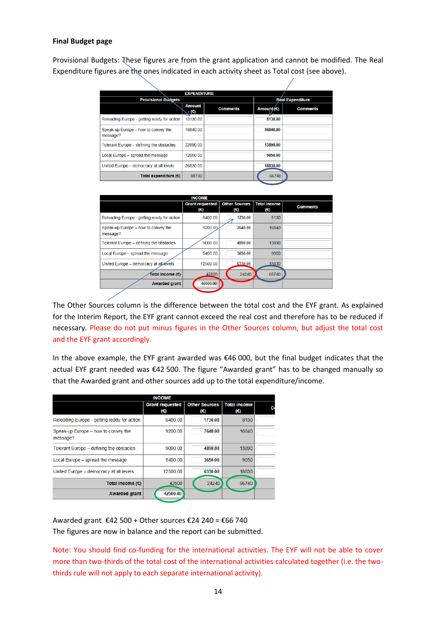#### **Final Budget page**

Provisional Budgets: These figures are from the grant application and cannot be modified. The Real Expenditure figures are the ones indicated in each activity sheet as Total cost (see above).

|                                                 | <b>EXPENDITURE</b>          |                 |                         |                 |  |
|-------------------------------------------------|-----------------------------|-----------------|-------------------------|-----------------|--|
| <b>Provisional Budgets</b>                      |                             |                 | <b>Réal Expenditure</b> |                 |  |
|                                                 | <b>Amount</b><br>$\sqrt{2}$ | <b>Comments</b> | Amount/ $(\epsilon)$    | <b>Comments</b> |  |
| Reloading Europe - getting ready for action     | 10130.00                    |                 | 8130.00                 |                 |  |
| Speak-up Europe - how to convey the<br>message? | 16840.00                    |                 | 16840.00                |                 |  |
| Tolerant Europe - defining the obstacles        | 22890.00                    |                 | 13890.00                |                 |  |
| Local Europe - spread the message               | 12050.00                    |                 | 9050.00                 |                 |  |
| United Europe - democracy at all levels         | 26830.00                    |                 | 18830.00                |                 |  |
| Total expenditure $(6)$                         | 88740                       |                 | 66740                   |                 |  |
|                                                 |                             |                 |                         |                 |  |

| <b>INCOME</b>                                   |                                        |                             |                            |                 |
|-------------------------------------------------|----------------------------------------|-----------------------------|----------------------------|-----------------|
|                                                 | <b>Grant requested</b><br>$(\epsilon)$ | <b>Other Sources</b><br>(€) | <b>Total income</b><br>(€) | <b>Comments</b> |
| Reloading Europe - getting ready for action     | 6400.00                                | 1730.00                     | 8130                       |                 |
| Speak-up Europe - how to convey the<br>message? | 9200.00                                | 7640.00                     | 16840                      |                 |
| Tolerant Europe - defining the obstacles        | 9000.00                                | 4890.00                     | 13890                      |                 |
| Local Europe - spread the message               | 5400.00                                | 3650.00                     | 9050                       |                 |
| United Europe - democracy at all levels         | 12500.00                               | 6330.00                     | 18830                      |                 |
| Total income (€)                                | 42500                                  | 24240                       | 66740                      |                 |
| <b>Awarded grant</b>                            | 46000.00                               |                             |                            |                 |

The Other Sources column is the difference between the total cost and the EYF grant. As explained for the Interim Report, the EYF grant cannot exceed the real cost and therefore has to be reduced if necessary. Please do not put minus figures in the Other Sources column, but adjust the total cost and the EYF grant accordingly.

In the above example, the EYF grant awarded was €46 000, but the final budget indicates that the actual EYF grant needed was €42 500. The figure "Awarded grant" has to be changed manually so that the Awarded grant and other sources add up to the total expenditure/income.

| <b>INCOME</b>                                   |                               |                             |                            |  |
|-------------------------------------------------|-------------------------------|-----------------------------|----------------------------|--|
|                                                 | <b>Grant requested</b><br>(€) | <b>Other Sources</b><br>(€) | <b>Total income</b><br>(€) |  |
| Reloading Europe - getting ready for action     | 6400.00                       | 1730.00                     | 8130                       |  |
| Speak-up Europe - how to convey the<br>message? | 9200.00                       | 7640.00                     | 16840                      |  |
| Tolerant Europe - defining the obstacles        | 9000.00                       | 4890.00                     | 13890                      |  |
| Local Europe - spread the message               | 5400.00                       | 3650.00                     | 9050                       |  |
| United Europe - democracy at all levels         | 12500.00                      | 6330.00                     | 18830                      |  |
| Total income $(\epsilon)$                       | 42500                         | 24240                       | 66740                      |  |
| <b>Awarded grant</b>                            | 42500.00                      |                             |                            |  |

Awarded grant €42 500 + Other sources €24 240 = €66 740 The figures are now in balance and the report can be submitted.

Note: You should find co-funding for the international activities. The EYF will not be able to cover more than two-thirds of the total cost of the international activities calculated together (i.e. the twothirds rule will not apply to each separate international activity).